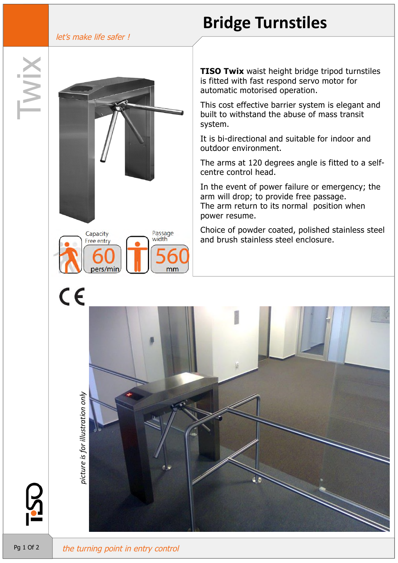#### let's make life safer !

Capacity Free entry Passage<br>width

# **Bridge Turnstiles**

**TISO Twix** waist height bridge tripod turnstiles is fitted with fast respond servo motor for automatic motorised operation.

This cost effective barrier system is elegant and built to withstand the abuse of mass transit system.

It is bi-directional and suitable for indoor and outdoor environment.

The arms at 120 degrees angle is fitted to a selfcentre control head.

In the event of power failure or emergency; the arm will drop; to provide free passage. The arm return to its normal position when power resume.

Choice of powder coated, polished stainless steel and brush stainless steel enclosure.



*only*

 $\epsilon$